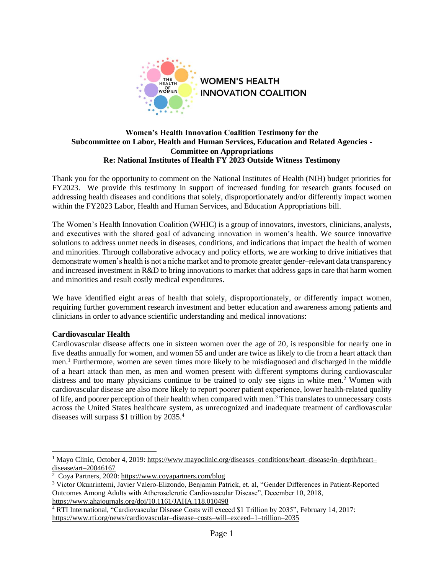

# **Women's Health Innovation Coalition Testimony for the Subcommittee on Labor, Health and Human Services, Education and Related Agencies - Committee on Appropriations Re: National Institutes of Health FY 2023 Outside Witness Testimony**

Thank you for the opportunity to comment on the National Institutes of Health (NIH) budget priorities for FY2023. We provide this testimony in support of increased funding for research grants focused on addressing health diseases and conditions that solely, disproportionately and/or differently impact women within the FY2023 Labor, Health and Human Services, and Education Appropriations bill.

The Women's Health Innovation Coalition (WHIC) is a group of innovators, investors, clinicians, analysts, and executives with the shared goal of advancing innovation in women's health. We source innovative solutions to address unmet needs in diseases, conditions, and indications that impact the health of women and minorities. Through collaborative advocacy and policy efforts, we are working to drive initiatives that demonstrate women's health is not a niche market and to promote greater gender–relevant data transparency and increased investment in R&D to bring innovations to market that address gaps in care that harm women and minorities and result costly medical expenditures.

We have identified eight areas of health that solely, disproportionately, or differently impact women, requiring further government research investment and better education and awareness among patients and clinicians in order to advance scientific understanding and medical innovations:

## **Cardiovascular Health**

Cardiovascular disease affects one in sixteen women over the age of 20, is responsible for nearly one in five deaths annually for women, and women 55 and under are twice as likely to die from a heart attack than men.<sup>1</sup> Furthermore, women are seven times more likely to be misdiagnosed and discharged in the middle of a heart attack than men, as men and women present with different symptoms during cardiovascular distress and too many physicians continue to be trained to only see signs in white men. <sup>2</sup> Women with cardiovascular disease are also more likely to report poorer patient experience, lower health‐related quality of life, and poorer perception of their health when compared with men.<sup>3</sup> This translates to unnecessary costs across the United States healthcare system, as unrecognized and inadequate treatment of cardiovascular diseases will surpass \$1 trillion by 2035. 4

<sup>4</sup> RTI International, "Cardiovascular Disease Costs will exceed \$1 Trillion by 2035", February 14, 2017: [https://www.rti.org/news/cardiovascular–disease–costs–will–exceed–1–trillion–2035](https://www.rti.org/news/cardiovascular-disease-costs-will-exceed-1-trillion-2035)

<sup>1</sup> Mayo Clinic, October 4, 2019: [https://www.mayoclinic.org/diseases–conditions/heart–disease/in–depth/heart–](https://www.mayoclinic.org/diseases-conditions/heart-disease/in-depth/heart-disease/art-20046167) [disease/art–20046167](https://www.mayoclinic.org/diseases-conditions/heart-disease/in-depth/heart-disease/art-20046167)

<sup>&</sup>lt;sup>2</sup> Coya Partners, 2020:<https://www.coyapartners.com/blog>

<sup>3</sup> Victor Okunrintemi, Javier Valero‐Elizondo, Benjamin Patrick, et. al, "Gender Differences in Patient‐Reported Outcomes Among Adults with Atherosclerotic Cardiovascular Disease", December 10, 2018, <https://www.ahajournals.org/doi/10.1161/JAHA.118.010498>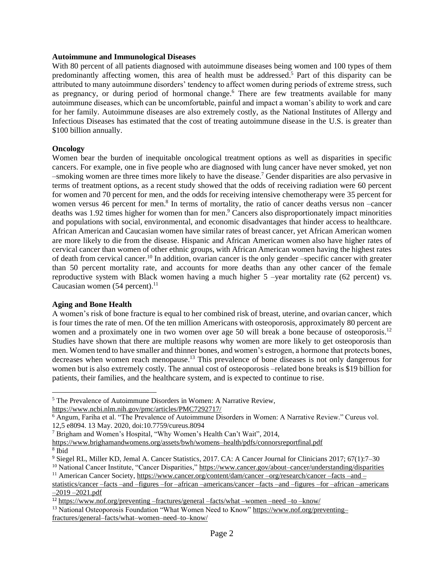#### **Autoimmune and Immunological Diseases**

With 80 percent of all patients diagnosed with autoimmune diseases being women and 100 types of them predominantly affecting women, this area of health must be addressed. <sup>5</sup> Part of this disparity can be attributed to many autoimmune disorders' tendency to affect women during periods of extreme stress, such as pregnancy, or during period of hormonal change.<sup>6</sup> There are few treatments available for many autoimmune diseases, which can be uncomfortable, painful and impact a woman's ability to work and care for her family. Autoimmune diseases are also extremely costly, as the National Institutes of Allergy and Infectious Diseases has estimated that the cost of treating autoimmune disease in the U.S. is greater than \$100 billion annually.

# **Oncology**

Women bear the burden of inequitable oncological treatment options as well as disparities in specific cancers. For example, one in five people who are diagnosed with lung cancer have never smoked, yet non –smoking women are three times more likely to have the disease.<sup>7</sup> Gender disparities are also pervasive in terms of treatment options, as a recent study showed that the odds of receiving radiation were 60 percent for women and 70 percent for men, and the odds for receiving intensive chemotherapy were 35 percent for women versus 46 percent for men.<sup>8</sup> In terms of mortality, the ratio of cancer deaths versus non -cancer deaths was 1.92 times higher for women than for men. <sup>9</sup> Cancers also disproportionately impact minorities and populations with social, environmental, and economic disadvantages that hinder access to healthcare. African American and Caucasian women have similar rates of breast cancer, yet African American women are more likely to die from the disease. Hispanic and African American women also have higher rates of cervical cancer than women of other ethnic groups, with African American women having the highest rates of death from cervical cancer.<sup>10</sup> In addition, ovarian cancer is the only gender –specific cancer with greater than 50 percent mortality rate, and accounts for more deaths than any other cancer of the female reproductive system with Black women having a much higher 5 –year mortality rate (62 percent) vs. Caucasian women (54 percent).<sup>11</sup>

## **Aging and Bone Health**

A women's risk of bone fracture is equal to her combined risk of breast, uterine, and ovarian cancer, which is four times the rate of men. Of the ten million Americans with osteoporosis, approximately 80 percent are women and a proximately one in two women over age 50 will break a bone because of osteoporosis.<sup>12</sup> Studies have shown that there are multiple reasons why women are more likely to get osteoporosis than men. Women tend to have smaller and thinner bones, and women's estrogen, a hormone that protects bones, decreases when women reach menopause.<sup>13</sup> This prevalence of bone diseases is not only dangerous for women but is also extremely costly. The annual cost of osteoporosis –related bone breaks is \$19 billion for patients, their families, and the healthcare system, and is expected to continue to rise.

<sup>5</sup> The Prevalence of Autoimmune Disorders in Women: A Narrative Review,

<https://www.ncbi.nlm.nih.gov/pmc/articles/PMC7292717/>

<sup>6</sup> Angum, Fariha et al. "The Prevalence of Autoimmune Disorders in Women: A Narrative Review." Cureus vol. 12,5 e8094. 13 May. 2020, doi:10.7759/cureus.8094

<sup>7</sup> Brigham and Women's Hospital, "Why Women's Health Can't Wait", 2014,

[https://www.brighamandwomens.org/assets/bwh/womens–health/pdfs/connorsreportfinal.pdf](https://www.brighamandwomens.org/assets/bwh/womens-health/pdfs/connorsreportfinal.pdf) 8 Ibid

<sup>9</sup> Siegel RL, Miller KD, Jemal A. Cancer Statistics, 2017. CA: A Cancer Journal for Clinicians 2017; 67(1):7–30

<sup>&</sup>lt;sup>10</sup> National Cancer Institute, "Cancer Disparities,[" https://www.cancer.gov/about–cancer/understanding/disparities](https://www.cancer.gov/about-cancer/understanding/disparities)

<sup>11</sup> American Cancer Society[, https://www.cancer.org/content/dam/cancer –org/research/cancer –facts –and –](https://www.cancer.org/content/dam/cancer%20–org/research/cancer%20–facts%20–and%20–statistics/cancer%20–facts%20–and%20–figures%20–for%20–african%20–americans/cancer%20–facts%20–and%20–figures%20–for%20–african%20–americans%20–2019%20–2021.pdf) [statistics/cancer –facts –and –figures –for –african –americans/cancer –facts –and –figures –for –african –americans](https://www.cancer.org/content/dam/cancer%20–org/research/cancer%20–facts%20–and%20–statistics/cancer%20–facts%20–and%20–figures%20–for%20–african%20–americans/cancer%20–facts%20–and%20–figures%20–for%20–african%20–americans%20–2019%20–2021.pdf)   $-2019 - 2021.pdf$ 

<sup>12</sup> [https://www.nof.org/preventing](https://www.nof.org/preventing-fractures/general-facts/what-women-need-to-know/) –fractures/general –facts/what –women –need –to –know/

<sup>&</sup>lt;sup>13</sup> National Osteoporosis Foundation "What Women Need to Know[" https://www.nof.org/preventing–](https://www.nof.org/preventing–fractures/general–facts/what–women–need–to–know/) [fractures/general–facts/what–women–need–to–know/](https://www.nof.org/preventing–fractures/general–facts/what–women–need–to–know/)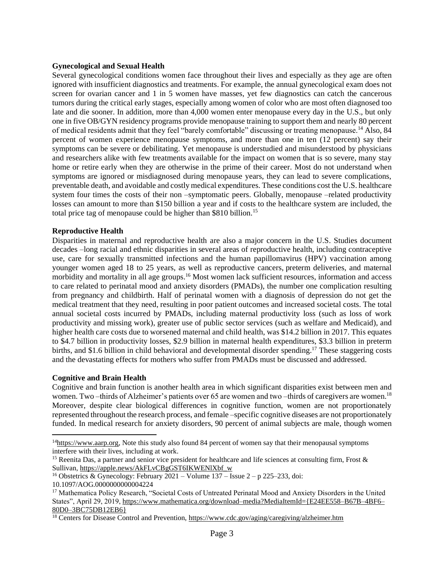# **Gynecological and Sexual Health**

Several gynecological conditions women face throughout their lives and especially as they age are often ignored with insufficient diagnostics and treatments. For example, the annual gynecological exam does not screen for ovarian cancer and 1 in 5 women have masses, yet few diagnostics can catch the cancerous tumors during the critical early stages, especially among women of color who are most often diagnosed too late and die sooner. In addition, more than 4,000 women enter menopause every day in the U.S., but only one in five OB/GYN residency programs provide menopause training to support them and nearly 80 percent of medical residents admit that they feel "barely comfortable" discussing or treating menopause.<sup>14</sup> Also, 84 percent of women experience menopause symptoms, and more than one in ten (12 percent) say their symptoms can be severe or debilitating. Yet menopause is understudied and misunderstood by physicians and researchers alike with few treatments available for the impact on women that is so severe, many stay home or retire early when they are otherwise in the prime of their career. Most do not understand when symptoms are ignored or misdiagnosed during menopause years, they can lead to severe complications, preventable death, and avoidable and costly medical expenditures. These conditions cost the U.S. healthcare system four times the costs of their non –symptomatic peers. Globally, menopause –related productivity losses can amount to more than \$150 billion a year and if costs to the healthcare system are included, the total price tag of menopause could be higher than \$810 billion.<sup>15</sup>

# **Reproductive Health**

Disparities in maternal and reproductive health are also a major concern in the U.S. Studies document decades –long racial and ethnic disparities in several areas of reproductive health, including contraceptive use, care for sexually transmitted infections and the human papillomavirus (HPV) vaccination among younger women aged 18 to 25 years, as well as reproductive cancers, preterm deliveries, and maternal morbidity and mortality in all age groups.<sup>16</sup> Most women lack sufficient resources, information and access to care related to perinatal mood and anxiety disorders (PMADs), the number one complication resulting from pregnancy and childbirth. Half of perinatal women with a diagnosis of depression do not get the medical treatment that they need, resulting in poor patient outcomes and increased societal costs. The total annual societal costs incurred by PMADs, including maternal productivity loss (such as loss of work productivity and missing work), greater use of public sector services (such as welfare and Medicaid), and higher health care costs due to worsened maternal and child health, was \$14.2 billion in 2017. This equates to \$4.7 billion in productivity losses, \$2.9 billion in maternal health expenditures, \$3.3 billion in preterm births, and \$1.6 billion in child behavioral and developmental disorder spending.<sup>17</sup> These staggering costs and the devastating effects for mothers who suffer from PMADs must be discussed and addressed.

## **Cognitive and Brain Health**

Cognitive and brain function is another health area in which significant disparities exist between men and women. Two –thirds of Alzheimer's patients over 65 are women and two –thirds of caregivers are women.<sup>18</sup> Moreover, despite clear biological differences in cognitive function, women are not proportionately represented throughout the research process, and female –specific cognitive diseases are not proportionately funded. In medical research for anxiety disorders, 90 percent of animal subjects are male, though women

 $14$ [https://www.aarp.org,](https://www.aarp.org/) Note this study also found 84 percent of women say that their menopausal symptoms interfere with their lives, including at work.

<sup>&</sup>lt;sup>15</sup> Reenita Das, a partner and senior vice president for healthcare and life sciences at consulting firm, Frost  $\&$ Sullivan, [https://apple.news/AkFLvCBgGST6IKWENlXbf\\_w](https://apple.news/AkFLvCBgGST6IKWENlXbf_w)

<sup>&</sup>lt;sup>16</sup> Obstetrics & Gynecology: February 2021 – Volume 137 – Issue  $2-p$  225–233, doi: 10.1097/AOG.0000000000004224

<sup>&</sup>lt;sup>17</sup> Mathematica Policy Research, "Societal Costs of Untreated Perinatal Mood and Anxiety Disorders in the United States", April 29, 2019, [https://www.mathematica.org/download–media?MediaItemId={E24EE558–B67B–4BF6–](https://www.mathematica.org/download-media?MediaItemId=%7bE24EE558-B67B-4BF6-80D0-3BC75DB12EB6%7d) [80D0–3BC75DB12EB6}](https://www.mathematica.org/download-media?MediaItemId=%7bE24EE558-B67B-4BF6-80D0-3BC75DB12EB6%7d)

<sup>&</sup>lt;sup>18</sup> Centers for Disease Control and Prevention,<https://www.cdc.gov/aging/caregiving/alzheimer.htm>